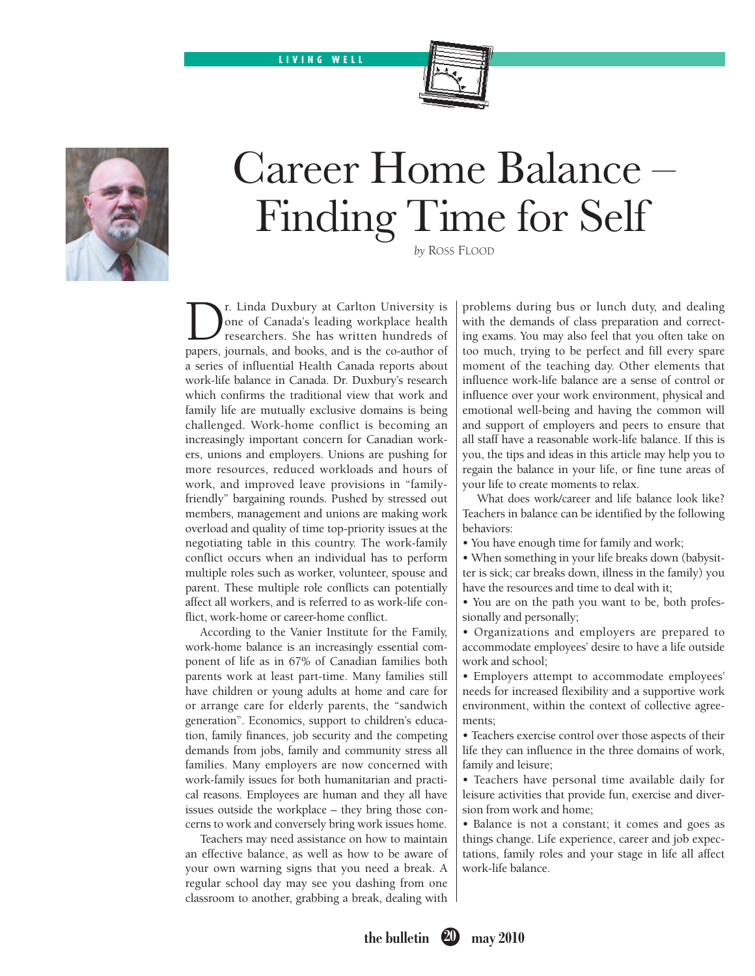LIVING WELL





# Career Home Balance – Finding Time for Self

*by* Ross Flood

The University is<br>
Dene of Canada's leading workplace health<br>
researchers. She has written hundreds of<br>
researchers is and books and is the co-author of one of Canada's leading workplace health researchers. She has written hundreds of papers, journals, and books, and is the co-author of a series of influential Health Canada reports about work-life balance in Canada. Dr. Duxbury's research which confirms the traditional view that work and family life are mutually exclusive domains is being challenged. Work-home conflict is becoming an increasingly important concern for Canadian workers, unions and employers. Unions are pushing for more resources, reduced workloads and hours of work, and improved leave provisions in "familyfriendly" bargaining rounds. Pushed by stressed out members, management and unions are making work overload and quality of time top-priority issues at the negotiating table in this country. The work-family conflict occurs when an individual has to perform multiple roles such as worker, volunteer, spouse and parent. These multiple role conflicts can potentially affect all workers, and is referred to as work-life conflict, work-home or career-home conflict.

According to the Vanier Institute for the Family, work-home balance is an increasingly essential component of life as in 67% of Canadian families both parents work at least part-time. Many families still have children or young adults at home and care for or arrange care for elderly parents, the "sandwich generation". Economics, support to children's education, family finances, job security and the competing demands from jobs, family and community stress all families. Many employers are now concerned with work-family issues for both humanitarian and practical reasons. Employees are human and they all have issues outside the workplace – they bring those concerns to work and conversely bring work issues home.

Teachers may need assistance on how to maintain an effective balance, as well as how to be aware of your own warning signs that you need a break. A regular school day may see you dashing from one classroom to another, grabbing a break, dealing with problems during bus or lunch duty, and dealing with the demands of class preparation and correcting exams. You may also feel that you often take on too much, trying to be perfect and fill every spare moment of the teaching day. Other elements that influence work-life balance are a sense of control or influence over your work environment, physical and emotional well-being and having the common will and support of employers and peers to ensure that all staff have a reasonable work-life balance. If this is you, the tips and ideas in this article may help you to regain the balance in your life, or fine tune areas of your life to create moments to relax.

What does work/career and life balance look like? Teachers in balance can be identified by the following behaviors:

• You have enough time for family and work;

• When something in your life breaks down (babysitter is sick; car breaks down, illness in the family) you have the resources and time to deal with it;

• You are on the path you want to be, both professionally and personally;

• Organizations and employers are prepared to accommodate employees' desire to have a life outside work and school;

• Employers attempt to accommodate employees' needs for increased flexibility and a supportive work environment, within the context of collective agreements;

• Teachers exercise control over those aspects of their life they can influence in the three domains of work, family and leisure;

• Teachers have personal time available daily for leisure activities that provide fun, exercise and diversion from work and home;

• Balance is not a constant; it comes and goes as things change. Life experience, career and job expectations, family roles and your stage in life all affect work-life balance.